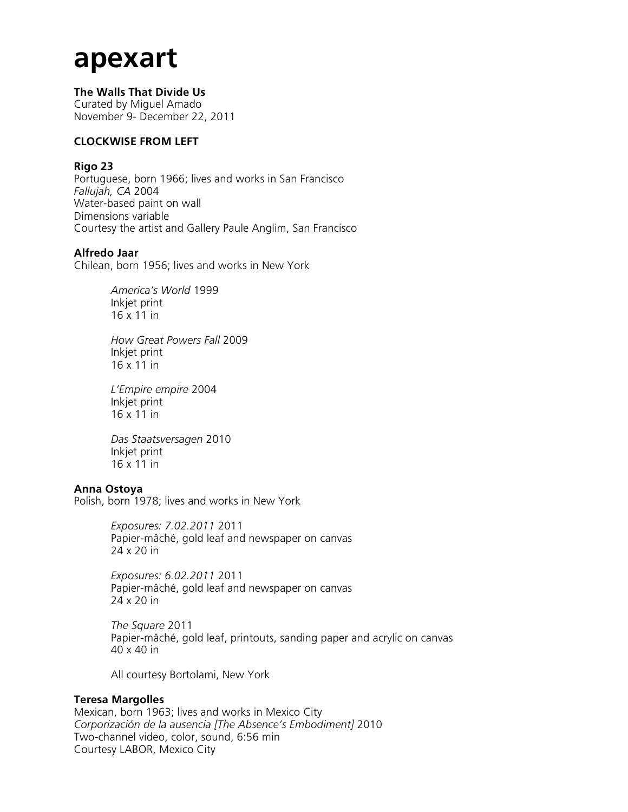# **apexart**

**The Walls That Divide Us** Curated by Miguel Amado November 9- December 22, 2011

## **CLOCKWISE FROM LEFT**

## **Rigo 23**

Portuguese, born 1966; lives and works in San Francisco *Fallujah, CA* 2004 Water-based paint on wall Dimensions variable Courtesy the artist and Gallery Paule Anglim, San Francisco

## **Alfredo Jaar**

Chilean, born 1956; lives and works in New York

*America's World* 1999 Inkjet print 16 x 11 in

*How Great Powers Fall* 2009 Inkjet print 16 x 11 in

*L'Empire empire* 2004 Inkjet print 16 x 11 in

*Das Staatsversagen* 2010 Inkjet print  $16 \times 11$  in

## **Anna Ostoya**

Polish, born 1978; lives and works in New York

*Exposures: 7.02.2011* 2011 Papier-mâché, gold leaf and newspaper on canvas 24 x 20 in

*Exposures: 6.02.2011* 2011 Papier-mâché, gold leaf and newspaper on canvas 24 x 20 in

*The Square* 2011 Papier-mâché, gold leaf, printouts, sanding paper and acrylic on canvas 40 x 40 in

All courtesy Bortolami, New York

## **Teresa Margolles**

Mexican, born 1963; lives and works in Mexico City *Corporización de la ausencia [The Absence's Embodiment]* 2010 Two-channel video, color, sound, 6:56 min Courtesy LABOR, Mexico City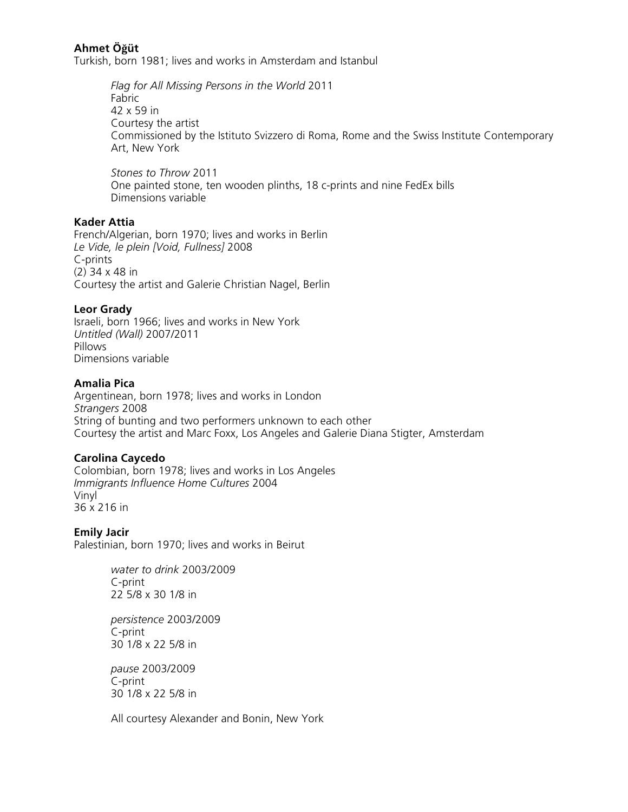## **Ahmet Öğüt**

Turkish, born 1981; lives and works in Amsterdam and Istanbul

*Flag for All Missing Persons in the World* 2011 Fabric 42 x 59 in Courtesy the artist Commissioned by the Istituto Svizzero di Roma, Rome and the Swiss Institute Contemporary Art, New York

*Stones to Throw* 2011 One painted stone, ten wooden plinths, 18 c-prints and nine FedEx bills Dimensions variable

## **Kader Attia**

French/Algerian, born 1970; lives and works in Berlin *Le Vide, le plein [Void, Fullness]* 2008 C-prints (2) 34 x 48 in Courtesy the artist and Galerie Christian Nagel, Berlin

#### **Leor Grady**

Israeli, born 1966; lives and works in New York *Untitled (Wall)* 2007/2011 Pillows Dimensions variable

#### **Amalia Pica**

Argentinean, born 1978; lives and works in London *Strangers* 2008 String of bunting and two performers unknown to each other Courtesy the artist and Marc Foxx, Los Angeles and Galerie Diana Stigter, Amsterdam

## **Carolina Caycedo**

Colombian, born 1978; lives and works in Los Angeles *Immigrants Influence Home Cultures* 2004 Vinyl 36 x 216 in

**Emily Jacir** Palestinian, born 1970; lives and works in Beirut

> *water to drink* 2003/2009 C-print 22 5/8 x 30 1/8 in

*persistence* 2003/2009 C-print 30 1/8 x 22 5/8 in

*pause* 2003/2009 C-print 30 1/8 x 22 5/8 in

All courtesy Alexander and Bonin, New York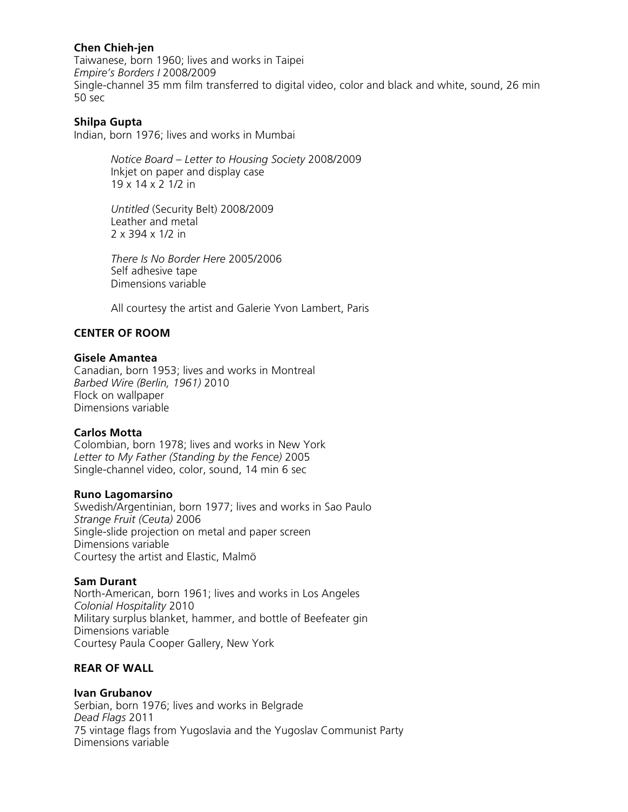## **Chen Chieh-jen**

Taiwanese, born 1960; lives and works in Taipei *Empire's Borders I* 2008/2009 Single-channel 35 mm film transferred to digital video, color and black and white, sound, 26 min 50 sec

## **Shilpa Gupta**

Indian, born 1976; lives and works in Mumbai

*Notice Board – Letter to Housing Society* 2008/2009 Inkjet on paper and display case 19 x 14 x 2 1/2 in

*Untitled* (Security Belt) 2008/2009 Leather and metal 2 x 394 x 1/2 in

*There Is No Border Here* 2005/2006 Self adhesive tape Dimensions variable

All courtesy the artist and Galerie Yvon Lambert, Paris

## **CENTER OF ROOM**

#### **Gisele Amantea**

Canadian, born 1953; lives and works in Montreal *Barbed Wire (Berlin, 1961)* 2010 Flock on wallpaper Dimensions variable

## **Carlos Motta**

Colombian, born 1978; lives and works in New York *Letter to My Father (Standing by the Fence)* 2005 Single-channel video, color, sound, 14 min 6 sec

#### **Runo Lagomarsino**

Swedish/Argentinian, born 1977; lives and works in Sao Paulo *Strange Fruit (Ceuta)* 2006 Single-slide projection on metal and paper screen Dimensions variable Courtesy the artist and Elastic, Malmö

## **Sam Durant**

North-American, born 1961; lives and works in Los Angeles *Colonial Hospitality* 2010 Military surplus blanket, hammer, and bottle of Beefeater gin Dimensions variable Courtesy Paula Cooper Gallery, New York

## **REAR OF WALL**

## **Ivan Grubanov**

Serbian, born 1976; lives and works in Belgrade *Dead Flags* 2011 75 vintage flags from Yugoslavia and the Yugoslav Communist Party Dimensions variable